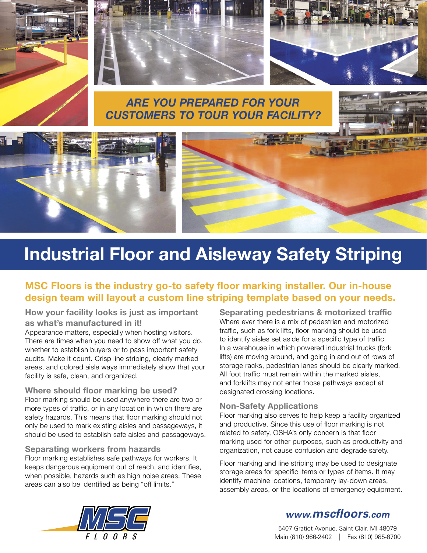





### *Are you prepared for your customers to tour your facility?*





# **Industrial Floor and Aisleway Safety Striping**

#### **MSC Floors is the industry go-to safety floor marking installer. Our in-house design team will layout a custom line striping template based on your needs.**

**How your facility looks is just as important as what's manufactured in it!**

Appearance matters, especially when hosting visitors. There are times when you need to show off what you do, whether to establish buyers or to pass important safety audits. Make it count. Crisp line striping, clearly marked areas, and colored aisle ways immediately show that your facility is safe, clean, and organized.

#### **Where should floor marking be used?**

Floor marking should be used anywhere there are two or more types of traffic, or in any location in which there are safety hazards. This means that floor marking should not only be used to mark existing aisles and passageways, it should be used to establish safe aisles and passageways.

#### **Separating workers from hazards**

Floor marking establishes safe pathways for workers. It keeps dangerous equipment out of reach, and identifies, when possible, hazards such as high noise areas. These areas can also be identified as being "off limits."

**Separating pedestrians & motorized traffic** Where ever there is a mix of pedestrian and motorized traffic, such as fork lifts, floor marking should be used to identify aisles set aside for a specific type of traffic. In a warehouse in which powered industrial trucks (fork lifts) are moving around, and going in and out of rows of storage racks, pedestrian lanes should be clearly marked. All foot traffic must remain within the marked aisles. and forklifts may not enter those pathways except at designated crossing locations.

#### **Non-Safety Applications**

Floor marking also serves to help keep a facility organized and productive. Since this use of floor marking is not related to safety, OSHA's only concern is that floor marking used for other purposes, such as productivity and organization, not cause confusion and degrade safety.

Floor marking and line striping may be used to designate storage areas for specific items or types of items. It may identify machine locations, temporary lay-down areas, assembly areas, or the locations of emergency equipment.



### *www.mscfloors.com*

5407 Gratiot Avenue, Saint Clair, MI 48079 Main (810) 966-2402 | Fax (810) 985-6700